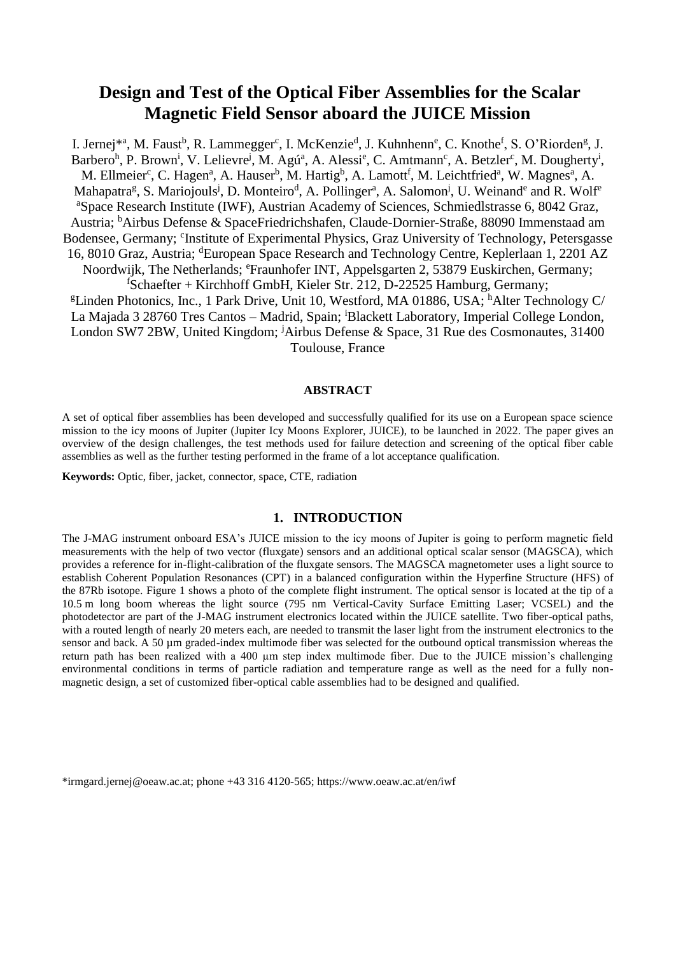# **Design and Test of the Optical Fiber Assemblies for the Scalar Magnetic Field Sensor aboard the JUICE Mission**

I. Jernej\*ª, M. Faust<sup>b</sup>, R. Lammegger<sup>c</sup>, I. McKenzie<sup>d</sup>, J. Kuhnhenn<sup>e</sup>, C. Knothe<sup>f</sup>, S. O'Riorden<sup>g</sup>, J. Barbero<sup>h</sup>, P. Brown<sup>i</sup>, V. Lelievre<sup>j</sup>, M. Agú<sup>a</sup>, A. Alessi<sup>e</sup>, C. Amtmann<sup>c</sup>, A. Betzler<sup>c</sup>, M. Dougherty<sup>i</sup>, M. Ellmeier<sup>c</sup>, C. Hagen<sup>a</sup>, A. Hauser<sup>b</sup>, M. Hartig<sup>b</sup>, A. Lamott<sup>f</sup>, M. Leichtfried<sup>a</sup>, W. Magnes<sup>a</sup>, A. Mahapatra<sup>g</sup>, S. Mariojouls<sup>j</sup>, D. Monteiro<sup>d</sup>, A. Pollinger<sup>a</sup>, A. Salomon<sup>j</sup>, U. Weinand<sup>e</sup> and R. Wolf<sup>e</sup> <sup>a</sup>Space Research Institute (IWF), Austrian Academy of Sciences, Schmiedlstrasse 6, 8042 Graz, Austria; <sup>b</sup>Airbus Defense & SpaceFriedrichshafen, Claude-Dornier-Straße, 88090 Immenstaad am Bodensee, Germany; <sup>c</sup>Institute of Experimental Physics, Graz University of Technology, Petersgasse 16, 8010 Graz, Austria; <sup>d</sup>European Space Research and Technology Centre, Keplerlaan 1, 2201 AZ Noordwijk, The Netherlands; <sup>e</sup>Fraunhofer INT, Appelsgarten 2, 53879 Euskirchen, Germany;  $f$ Schaefter + Kirchhoff GmbH, Kieler Str. 212, D-22525 Hamburg, Germany; <sup>g</sup>Linden Photonics, Inc., 1 Park Drive, Unit 10, Westford, MA 01886, USA; <sup>h</sup>Alter Technology C/ La Majada 3 28760 Tres Cantos – Madrid, Spain; <sup>i</sup>Blackett Laboratory, Imperial College London, London SW7 2BW, United Kingdom; <sup>j</sup>Airbus Defense & Space, 31 Rue des Cosmonautes, 31400 Toulouse, France

#### **ABSTRACT**

A set of optical fiber assemblies has been developed and successfully qualified for its use on a European space science mission to the icy moons of Jupiter (Jupiter Icy Moons Explorer, JUICE), to be launched in 2022. The paper gives an overview of the design challenges, the test methods used for failure detection and screening of the optical fiber cable assemblies as well as the further testing performed in the frame of a lot acceptance qualification.

**Keywords:** Optic, fiber, jacket, connector, space, CTE, radiation

### **1. INTRODUCTION**

The J-MAG instrument onboard ESA's JUICE mission to the icy moons of Jupiter is going to perform magnetic field measurements with the help of two vector (fluxgate) sensors and an additional optical scalar sensor (MAGSCA), which provides a reference for in-flight-calibration of the fluxgate sensors. The MAGSCA magnetometer uses a light source to establish Coherent Population Resonances (CPT) in a balanced configuration within the Hyperfine Structure (HFS) of the 87Rb isotope. [Figure 1](#page-1-0) shows a photo of the complete flight instrument. The optical sensor is located at the tip of a 10.5 m long boom whereas the light source (795 nm Vertical-Cavity Surface Emitting Laser; VCSEL) and the photodetector are part of the J-MAG instrument electronics located within the JUICE satellite. Two fiber-optical paths, with a routed length of nearly 20 meters each, are needed to transmit the laser light from the instrument electronics to the sensor and back. A 50 µm graded-index multimode fiber was selected for the outbound optical transmission whereas the return path has been realized with a 400 µm step index multimode fiber. Due to the JUICE mission's challenging environmental conditions in terms of particle radiation and temperature range as well as the need for a fully nonmagnetic design, a set of customized fiber-optical cable assemblies had to be designed and qualified.

\*irmgard.jernej@oeaw.ac.at; phone +43 316 4120-565; https://www.oeaw.ac.at/en/iwf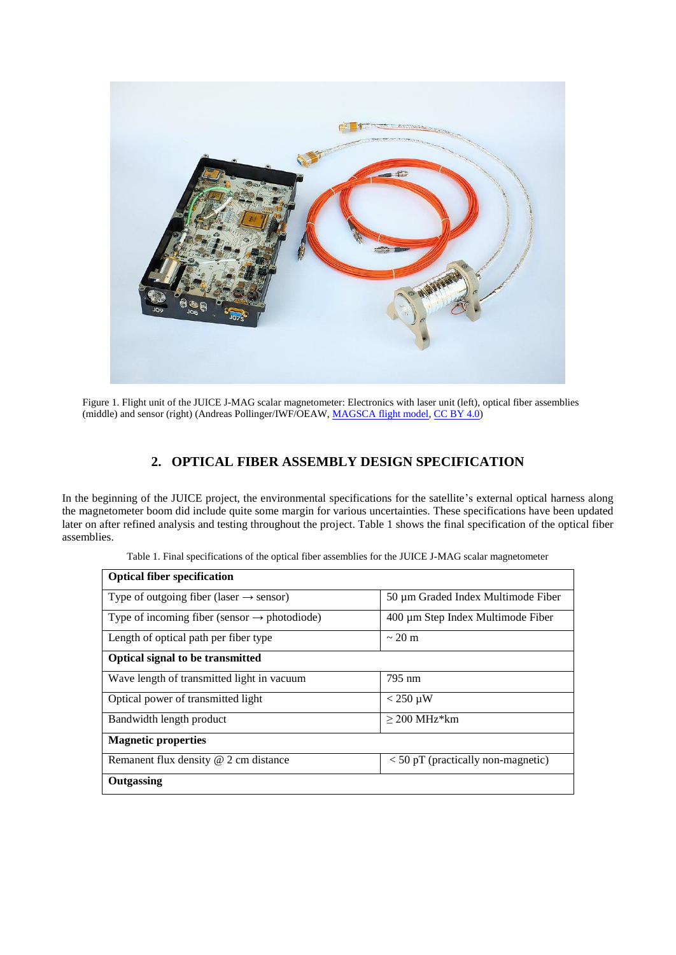

<span id="page-1-0"></span>Figure 1. Flight unit of the JUICE J-MAG scalar magnetometer: Electronics with laser unit (left), optical fiber assemblies (middle) and sensor (right) (Andreas Pollinger/IWF/OEAW, [MAGSCA flight model,](https://commons.wikimedia.org/wiki/File:MAGSCA_flight_model.jpg) [CC BY 4.0\)](https://creativecommons.org/licenses/by/4.0/legalcode)

## **2. OPTICAL FIBER ASSEMBLY DESIGN SPECIFICATION**

In the beginning of the JUICE project, the environmental specifications for the satellite's external optical harness along the magnetometer boom did include quite some margin for various uncertainties. These specifications have been updated later on after refined analysis and testing throughout the project[. Table 1](#page-1-1) shows the final specification of the optical fiber assemblies.

<span id="page-1-1"></span>

| <b>Optical fiber specification</b>                       |                                      |
|----------------------------------------------------------|--------------------------------------|
| Type of outgoing fiber (laser $\rightarrow$ sensor)      | 50 µm Graded Index Multimode Fiber   |
| Type of incoming fiber (sensor $\rightarrow$ photodiode) | 400 µm Step Index Multimode Fiber    |
| Length of optical path per fiber type                    | $\sim$ 20 m                          |
| <b>Optical signal to be transmitted</b>                  |                                      |
| Wave length of transmitted light in vacuum               | 795 nm                               |
| Optical power of transmitted light                       | $<$ 250 $\mu$ W                      |
| Bandwidth length product                                 | $>$ 200 MHz*km                       |
| <b>Magnetic properties</b>                               |                                      |
| Remanent flux density @ 2 cm distance                    | $<$ 50 pT (practically non-magnetic) |
| Outgassing                                               |                                      |

Table 1. Final specifications of the optical fiber assemblies for the JUICE J-MAG scalar magnetometer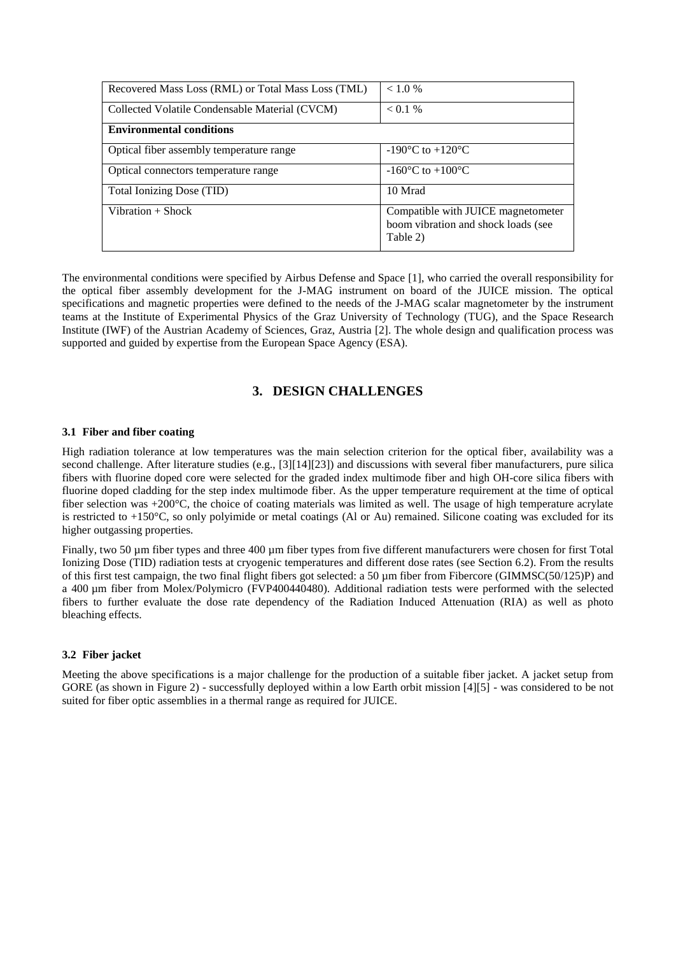| Recovered Mass Loss (RML) or Total Mass Loss (TML) | < 1.0 %                                                                               |
|----------------------------------------------------|---------------------------------------------------------------------------------------|
| Collected Volatile Condensable Material (CVCM)     | < 0.1 %                                                                               |
| <b>Environmental conditions</b>                    |                                                                                       |
| Optical fiber assembly temperature range           | $-190^{\circ}$ C to $+120^{\circ}$ C                                                  |
| Optical connectors temperature range               | $-160^{\circ}$ C to $+100^{\circ}$ C                                                  |
| Total Ionizing Dose (TID)                          | 10 Mrad                                                                               |
| Vibration $+$ Shock                                | Compatible with JUICE magnetometer<br>boom vibration and shock loads (see<br>Table 2) |

The environmental conditions were specified by Airbus Defense and Space [1], who carried the overall responsibility for the optical fiber assembly development for the J-MAG instrument on board of the JUICE mission. The optical specifications and magnetic properties were defined to the needs of the J-MAG scalar magnetometer by the instrument teams at the Institute of Experimental Physics of the Graz University of Technology (TUG), and the Space Research Institute (IWF) of the Austrian Academy of Sciences, Graz, Austria [2]. The whole design and qualification process was supported and guided by expertise from the European Space Agency (ESA).

### **3. DESIGN CHALLENGES**

#### **3.1 Fiber and fiber coating**

High radiation tolerance at low temperatures was the main selection criterion for the optical fiber, availability was a second challenge. After literature studies (e.g., [3][14][23]) and discussions with several fiber manufacturers, pure silica fibers with fluorine doped core were selected for the graded index multimode fiber and high OH-core silica fibers with fluorine doped cladding for the step index multimode fiber. As the upper temperature requirement at the time of optical fiber selection was +200°C, the choice of coating materials was limited as well. The usage of high temperature acrylate is restricted to +150°C, so only polyimide or metal coatings (Al or Au) remained. Silicone coating was excluded for its higher outgassing properties.

Finally, two 50 µm fiber types and three 400 µm fiber types from five different manufacturers were chosen for first Total Ionizing Dose (TID) radiation tests at cryogenic temperatures and different dose rates (see Section [6.2\)](#page-12-0). From the results of this first test campaign, the two final flight fibers got selected: a 50 µm fiber from Fibercore (GIMMSC(50/125)P) and a 400 µm fiber from Molex/Polymicro (FVP400440480). Additional radiation tests were performed with the selected fibers to further evaluate the dose rate dependency of the Radiation Induced Attenuation (RIA) as well as photo bleaching effects.

#### **3.2 Fiber jacket**

Meeting the above specifications is a major challenge for the production of a suitable fiber jacket. A jacket setup from GORE (as shown in [Figure 2\)](#page-3-0) - successfully deployed within a low Earth orbit mission [4][5] - was considered to be not suited for fiber optic assemblies in a thermal range as required for JUICE.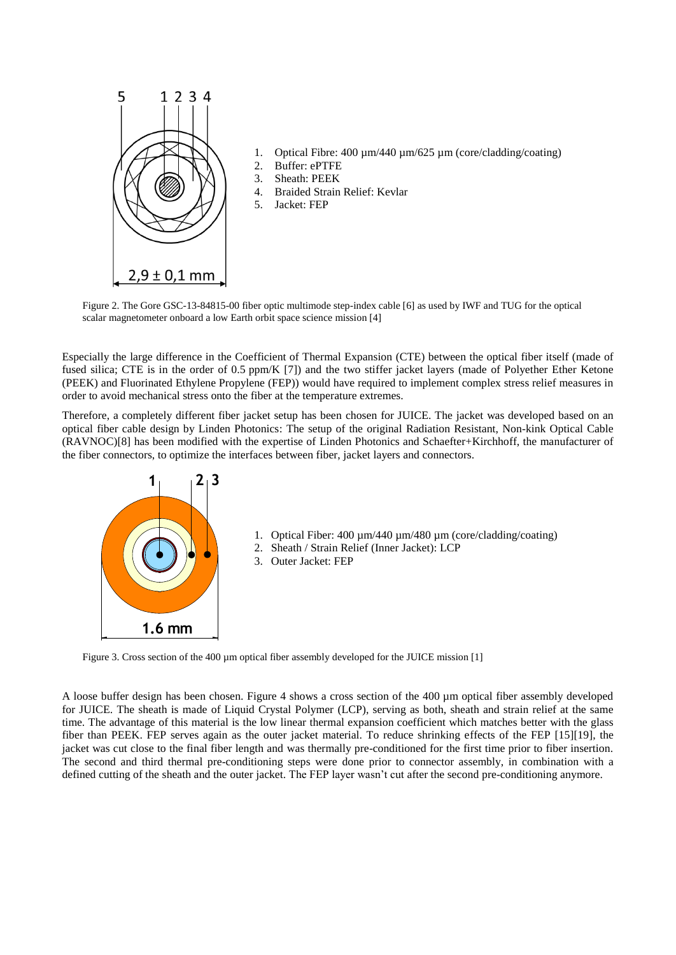

- 1. Optical Fibre: 400  $\mu$ m/440  $\mu$ m/625  $\mu$ m (core/cladding/coating)
- 2. Buffer: ePTFE
- 3. Sheath: PEEK
- 4. Braided Strain Relief: Kevlar
- 5. Jacket: FEP

<span id="page-3-0"></span>Figure 2. The Gore GSC-13-84815-00 fiber optic multimode step-index cable [6] as used by IWF and TUG for the optical scalar magnetometer onboard a low Earth orbit space science mission [4]

Especially the large difference in the Coefficient of Thermal Expansion (CTE) between the optical fiber itself (made of fused silica; CTE is in the order of 0.5 ppm/K [7]) and the two stiffer jacket layers (made of Polyether Ether Ketone (PEEK) and Fluorinated Ethylene Propylene (FEP)) would have required to implement complex stress relief measures in order to avoid mechanical stress onto the fiber at the temperature extremes.

Therefore, a completely different fiber jacket setup has been chosen for JUICE. The jacket was developed based on an optical fiber cable design by Linden Photonics: The setup of the original Radiation Resistant, Non-kink Optical Cable (RAVNOC)[8] has been modified with the expertise of Linden Photonics and Schaefter+Kirchhoff, the manufacturer of the fiber connectors, to optimize the interfaces between fiber, jacket layers and connectors.



Figure 3. Cross section of the 400 µm optical fiber assembly developed for the JUICE mission [1]

<sub>c</sub>or defined cutting of the sheath and the outer jacket. The FEP layer wasn't cut after the second pre-conditioning anymore. jacket was cut close to the final fiber length and was thermally pre-conditioned for the first time prior to fiber insertion. The second and third thermal pre-conditioning steps were done prior to connector assembly, in combination with a A loose buffer design has been chosen. [Figure 4](#page-4-0) shows a cross section of the 400 µm optical fiber assembly developed for JUICE. The sheath is made of Liquid Crystal Polymer (LCP), serving as both, sheath and strain relief at the same time. The advantage of this material is the low linear thermal expansion coefficient which matches better with the glass fiber than PEEK. FEP serves again as the outer jacket material. To reduce shrinking effects of the FEP [15][19], the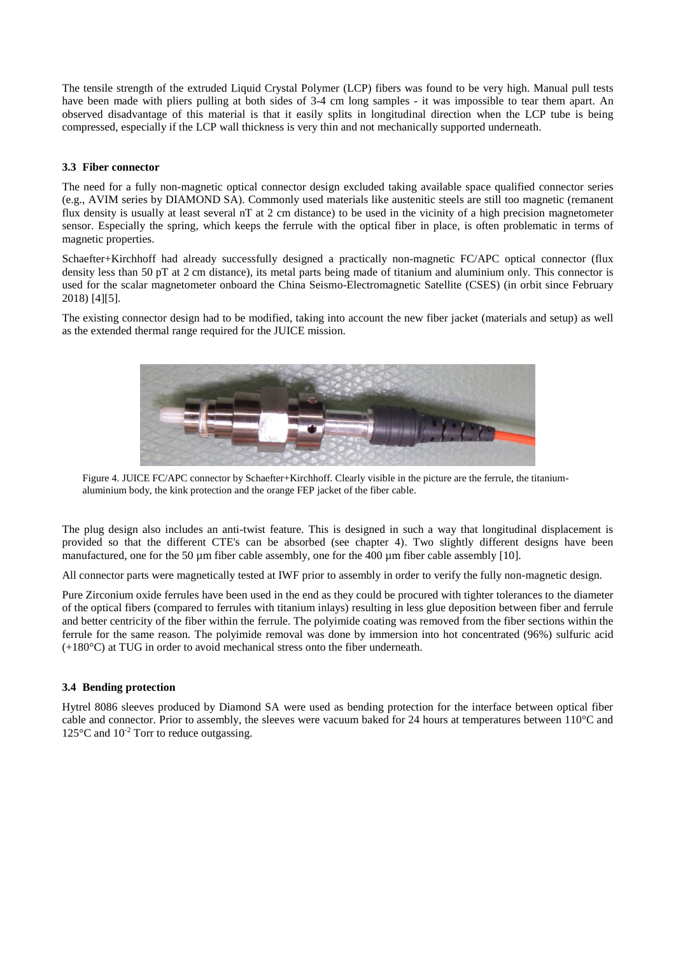The tensile strength of the extruded Liquid Crystal Polymer (LCP) fibers was found to be very high. Manual pull tests have been made with pliers pulling at both sides of 3-4 cm long samples - it was impossible to tear them apart. An observed disadvantage of this material is that it easily splits in longitudinal direction when the LCP tube is being compressed, especially if the LCP wall thickness is very thin and not mechanically supported underneath.

#### **3.3 Fiber connector**

The need for a fully non-magnetic optical connector design excluded taking available space qualified connector series (e.g., AVIM series by DIAMOND SA). Commonly used materials like austenitic steels are still too magnetic (remanent flux density is usually at least several nT at 2 cm distance) to be used in the vicinity of a high precision magnetometer sensor. Especially the spring, which keeps the ferrule with the optical fiber in place, is often problematic in terms of magnetic properties.

Schaefter+Kirchhoff had already successfully designed a practically non-magnetic FC/APC optical connector (flux density less than 50 pT at 2 cm distance), its metal parts being made of titanium and aluminium only. This connector is used for the scalar magnetometer onboard the China Seismo-Electromagnetic Satellite (CSES) (in orbit since February 2018) [4][5].

The existing connector design had to be modified, taking into account the new fiber jacket (materials and setup) as well as the extended thermal range required for the JUICE mission.



Figure 4. JUICE FC/APC connector by Schaefter+Kirchhoff. Clearly visible in the picture are the ferrule, the titaniumaluminium body, the kink protection and the orange FEP jacket of the fiber cable.

<span id="page-4-0"></span>The plug design also includes an anti-twist feature. This is designed in such a way that longitudinal displacement is provided so that the different CTE's can be absorbed (see chapter 4). Two slightly different designs have been manufactured, one for the 50 µm fiber cable assembly, one for the 400 µm fiber cable assembly [10].

All connector parts were magnetically tested at IWF prior to assembly in order to verify the fully non-magnetic design.

Pure Zirconium oxide ferrules have been used in the end as they could be procured with tighter tolerances to the diameter of the optical fibers (compared to ferrules with titanium inlays) resulting in less glue deposition between fiber and ferrule and better centricity of the fiber within the ferrule. The polyimide coating was removed from the fiber sections within the ferrule for the same reason. The polyimide removal was done by immersion into hot concentrated (96%) sulfuric acid (+180°C) at TUG in order to avoid mechanical stress onto the fiber underneath.

#### **3.4 Bending protection**

Hytrel 8086 sleeves produced by Diamond SA were used as bending protection for the interface between optical fiber cable and connector. Prior to assembly, the sleeves were vacuum baked for 24 hours at temperatures between 110°C and 125°C and 10<sup>-2</sup> Torr to reduce outgassing.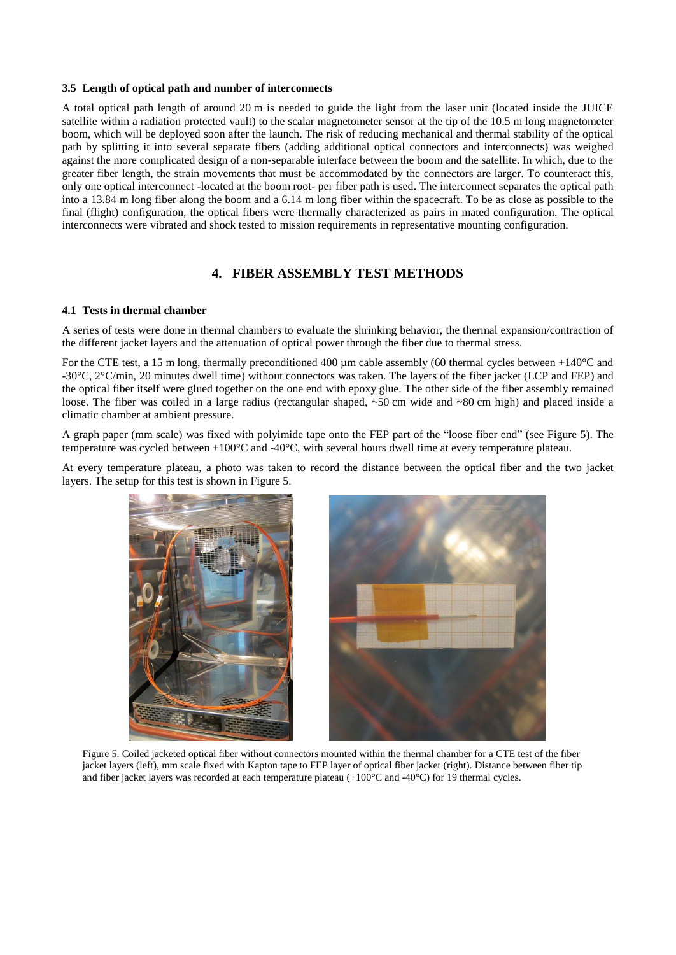#### **3.5 Length of optical path and number of interconnects**

A total optical path length of around 20 m is needed to guide the light from the laser unit (located inside the JUICE satellite within a radiation protected vault) to the scalar magnetometer sensor at the tip of the 10.5 m long magnetometer boom, which will be deployed soon after the launch. The risk of reducing mechanical and thermal stability of the optical path by splitting it into several separate fibers (adding additional optical connectors and interconnects) was weighed against the more complicated design of a non-separable interface between the boom and the satellite. In which, due to the greater fiber length, the strain movements that must be accommodated by the connectors are larger. To counteract this, only one optical interconnect -located at the boom root- per fiber path is used. The interconnect separates the optical path into a 13.84 m long fiber along the boom and a 6.14 m long fiber within the spacecraft. To be as close as possible to the final (flight) configuration, the optical fibers were thermally characterized as pairs in mated configuration. The optical interconnects were vibrated and shock tested to mission requirements in representative mounting configuration.

### **4. FIBER ASSEMBLY TEST METHODS**

#### **4.1 Tests in thermal chamber**

A series of tests were done in thermal chambers to evaluate the shrinking behavior, the thermal expansion/contraction of the different jacket layers and the attenuation of optical power through the fiber due to thermal stress.

For the CTE test, a 15 m long, thermally preconditioned 400 µm cable assembly (60 thermal cycles between +140 $\degree$ C and -30°C, 2°C/min, 20 minutes dwell time) without connectors was taken. The layers of the fiber jacket (LCP and FEP) and the optical fiber itself were glued together on the one end with epoxy glue. The other side of the fiber assembly remained loose. The fiber was coiled in a large radius (rectangular shaped, ~50 cm wide and ~80 cm high) and placed inside a climatic chamber at ambient pressure.

A graph paper (mm scale) was fixed with polyimide tape onto the FEP part of the "loose fiber end" (see [Figure 5\)](#page-5-0). The temperature was cycled between +100°C and -40°C, with several hours dwell time at every temperature plateau.

At every temperature plateau, a photo was taken to record the distance between the optical fiber and the two jacket layers. The setup for this test is shown in [Figure 5.](#page-5-0)

<span id="page-5-0"></span>

Figure 5. Coiled jacketed optical fiber without connectors mounted within the thermal chamber for a CTE test of the fiber jacket layers (left), mm scale fixed with Kapton tape to FEP layer of optical fiber jacket (right). Distance between fiber tip and fiber jacket layers was recorded at each temperature plateau  $(+100^{\circ}$ C and  $-40^{\circ}$ C) for 19 thermal cycles.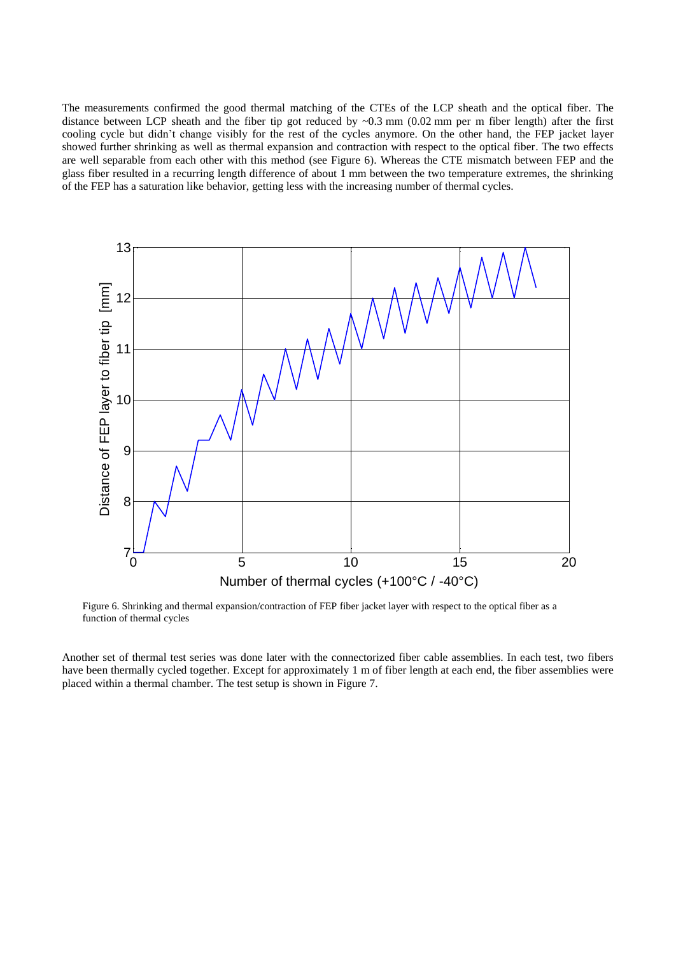The measurements confirmed the good thermal matching of the CTEs of the LCP sheath and the optical fiber. The distance between LCP sheath and the fiber tip got reduced by  $\sim 0.3$  mm (0.02 mm per m fiber length) after the first cooling cycle but didn't change visibly for the rest of the cycles anymore. On the other hand, the FEP jacket layer showed further shrinking as well as thermal expansion and contraction with respect to the optical fiber. The two effects are well separable from each other with this method (see [Figure 6\)](#page-6-0). Whereas the CTE mismatch between FEP and the glass fiber resulted in a recurring length difference of about 1 mm between the two temperature extremes, the shrinking of the FEP has a saturation like behavior, getting less with the increasing number of thermal cycles.



<span id="page-6-0"></span>Figure 6. Shrinking and thermal expansion/contraction of FEP fiber jacket layer with respect to the optical fiber as a function of thermal cycles

Another set of thermal test series was done later with the connectorized fiber cable assemblies. In each test, two fibers have been thermally cycled together. Except for approximately 1 m of fiber length at each end, the fiber assemblies were placed within a thermal chamber. The test setup is shown in [Figure 7.](#page-7-0)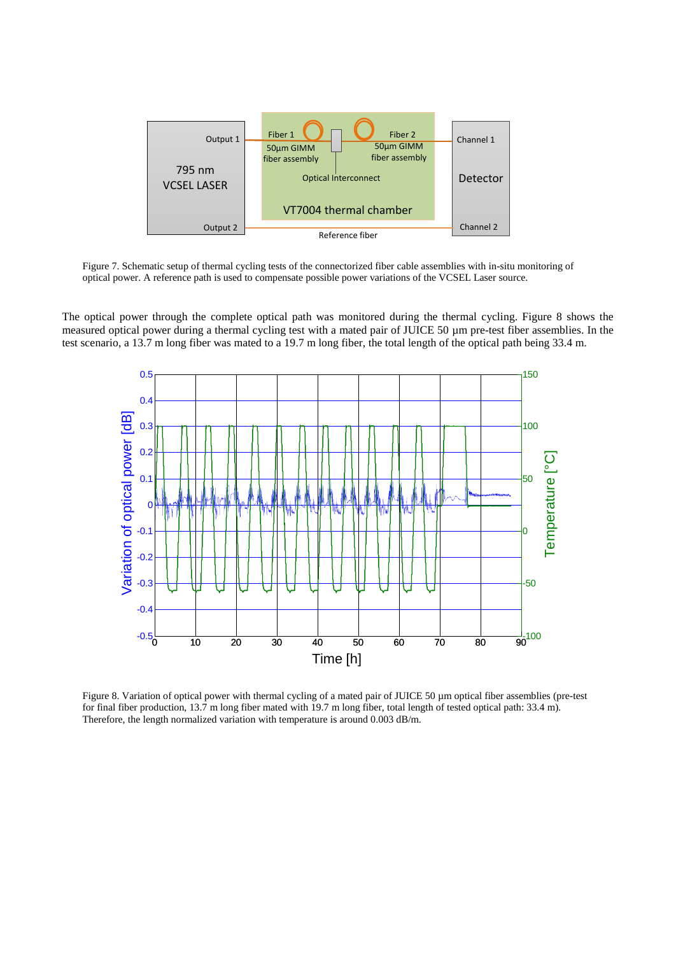

<span id="page-7-0"></span>Figure 7. Schematic setup of thermal cycling tests of the connectorized fiber cable assemblies with in-situ monitoring of optical power. A reference path is used to compensate possible power variations of the VCSEL Laser source.

The optical power through the complete optical path was monitored during the thermal cycling. [Figure 8](#page-7-1) shows the measured optical power during a thermal cycling test with a mated pair of JUICE 50 µm pre-test fiber assemblies. In the test scenario, a 13.7 m long fiber was mated to a 19.7 m long fiber, the total length of the optical path being 33.4 m.



<span id="page-7-1"></span>Figure 8. Variation of optical power with thermal cycling of a mated pair of JUICE 50 µm optical fiber assemblies (pre-test for final fiber production, 13.7 m long fiber mated with 19.7 m long fiber, total length of tested optical path: 33.4 m). Therefore, the length normalized variation with temperature is around 0.003 dB/m.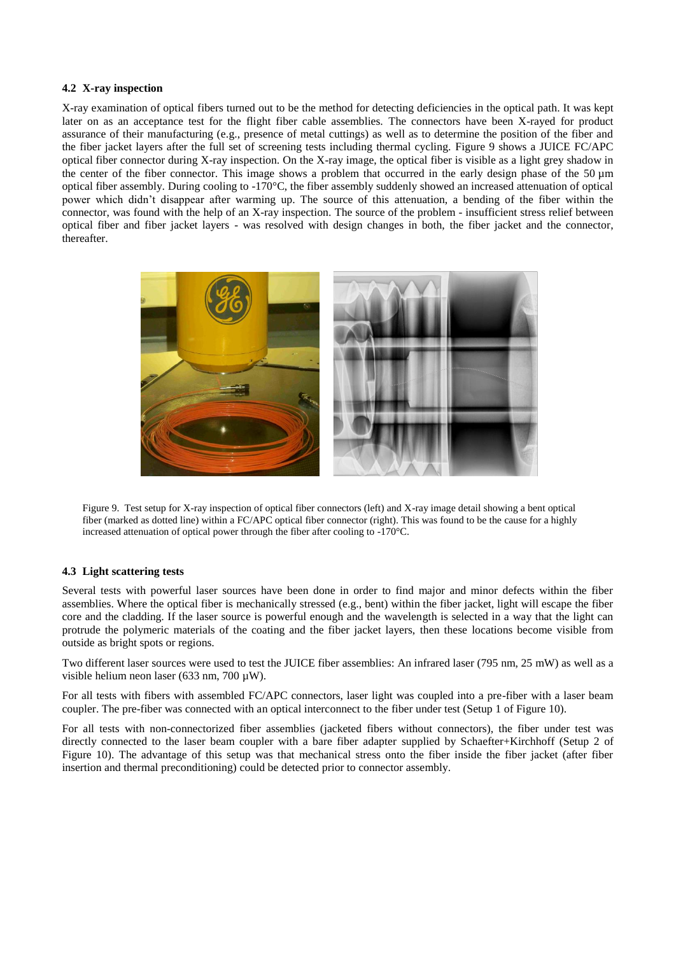#### **4.2 X-ray inspection**

X-ray examination of optical fibers turned out to be the method for detecting deficiencies in the optical path. It was kept later on as an acceptance test for the flight fiber cable assemblies. The connectors have been X-rayed for product assurance of their manufacturing (e.g., presence of metal cuttings) as well as to determine the position of the fiber and the fiber jacket layers after the full set of screening tests including thermal cycling. [Figure 9](#page-8-0) shows a JUICE FC/APC optical fiber connector during X-ray inspection. On the X-ray image, the optical fiber is visible as a light grey shadow in the center of the fiber connector. This image shows a problem that occurred in the early design phase of the  $50 \mu m$ optical fiber assembly. During cooling to -170°C, the fiber assembly suddenly showed an increased attenuation of optical power which didn't disappear after warming up. The source of this attenuation, a bending of the fiber within the connector, was found with the help of an X-ray inspection. The source of the problem - insufficient stress relief between optical fiber and fiber jacket layers - was resolved with design changes in both, the fiber jacket and the connector, thereafter.



Figure 9. Test setup for X-ray inspection of optical fiber connectors (left) and X-ray image detail showing a bent optical fiber (marked as dotted line) within a FC/APC optical fiber connector (right). This was found to be the cause for a highly increased attenuation of optical power through the fiber after cooling to -170°C.

#### <span id="page-8-0"></span>**4.3 Light scattering tests**

Several tests with powerful laser sources have been done in order to find major and minor defects within the fiber assemblies. Where the optical fiber is mechanically stressed (e.g., bent) within the fiber jacket, light will escape the fiber core and the cladding. If the laser source is powerful enough and the wavelength is selected in a way that the light can protrude the polymeric materials of the coating and the fiber jacket layers, then these locations become visible from outside as bright spots or regions.

Two different laser sources were used to test the JUICE fiber assemblies: An infrared laser (795 nm, 25 mW) as well as a visible helium neon laser (633 nm, 700 µW).

For all tests with fibers with assembled FC/APC connectors, laser light was coupled into a pre-fiber with a laser beam coupler. The pre-fiber was connected with an optical interconnect to the fiber under test (Setup 1 of [Figure 10\)](#page-9-0).

For all tests with non-connectorized fiber assemblies (jacketed fibers without connectors), the fiber under test was directly connected to the laser beam coupler with a bare fiber adapter supplied by Schaefter+Kirchhoff (Setup 2 of [Figure 10\)](#page-9-0). The advantage of this setup was that mechanical stress onto the fiber inside the fiber jacket (after fiber insertion and thermal preconditioning) could be detected prior to connector assembly.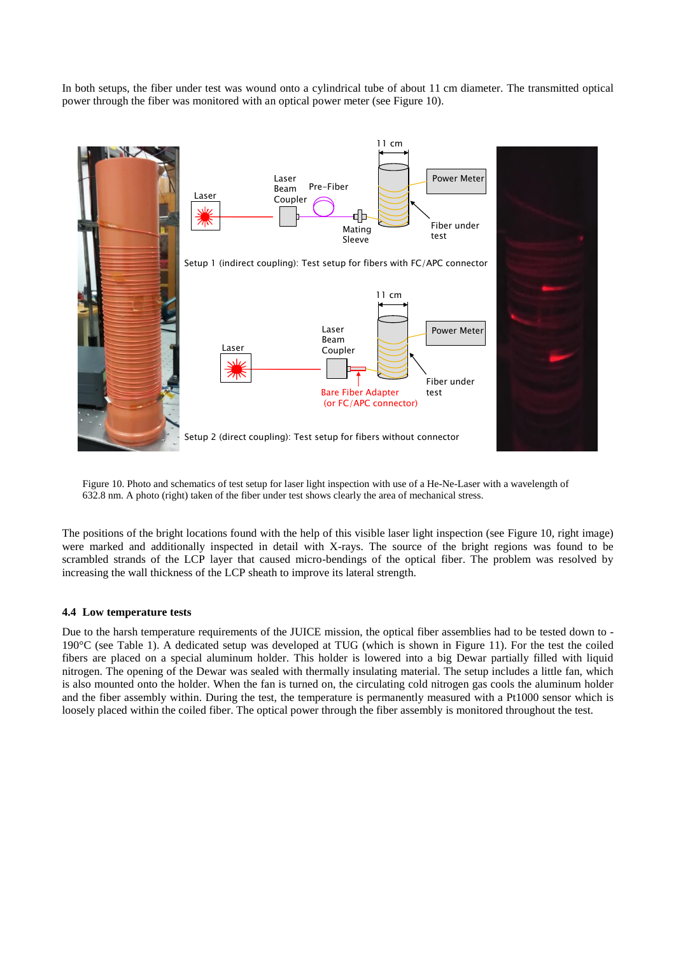In both setups, the fiber under test was wound onto a cylindrical tube of about 11 cm diameter. The transmitted optical power through the fiber was monitored with an optical power meter (see [Figure 10\)](#page-9-0).



<span id="page-9-0"></span>Figure 10. Photo and schematics of test setup for laser light inspection with use of a He-Ne-Laser with a wavelength of 632.8 nm. A photo (right) taken of the fiber under test shows clearly the area of mechanical stress.

The positions of the bright locations found with the help of this visible laser light inspection (see [Figure 10,](#page-9-0) right image) were marked and additionally inspected in detail with X-rays. The source of the bright regions was found to be scrambled strands of the LCP layer that caused micro-bendings of the optical fiber. The problem was resolved by increasing the wall thickness of the LCP sheath to improve its lateral strength.

#### **4.4 Low temperature tests**

Due to the harsh temperature requirements of the JUICE mission, the optical fiber assemblies had to be tested down to - 190°C (see [Table 1\)](#page-1-1). A dedicated setup was developed at TUG (which is shown in [Figure 11\)](#page-10-0). For the test the coiled fibers are placed on a special aluminum holder. This holder is lowered into a big Dewar partially filled with liquid nitrogen. The opening of the Dewar was sealed with thermally insulating material. The setup includes a little fan, which is also mounted onto the holder. When the fan is turned on, the circulating cold nitrogen gas cools the aluminum holder and the fiber assembly within. During the test, the temperature is permanently measured with a Pt1000 sensor which is loosely placed within the coiled fiber. The optical power through the fiber assembly is monitored throughout the test.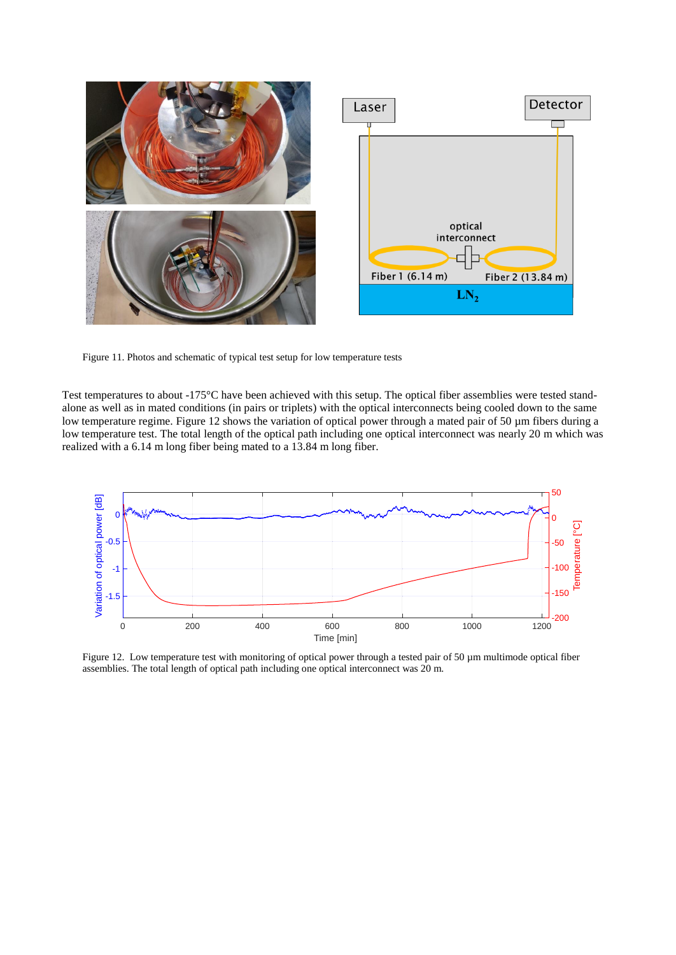

<span id="page-10-0"></span>Figure 11. Photos and schematic of typical test setup for low temperature tests

Test temperatures to about -175°C have been achieved with this setup. The optical fiber assemblies were tested standalone as well as in mated conditions (in pairs or triplets) with the optical interconnects being cooled down to the same low temperature regime. Figure 12 shows the variation of optical power through a mated pair of 50 µm fibers during a low temperature test. The total length of the optical path including one optical interconnect was nearly 20 m which was realized with a 6.14 m long fiber being mated to a 13.84 m long fiber.



Figure 12. Low temperature test with monitoring of optical power through a tested pair of 50  $\mu$ m multimode optical fiber assemblies. The total length of optical path including one optical interconnect was 20 m.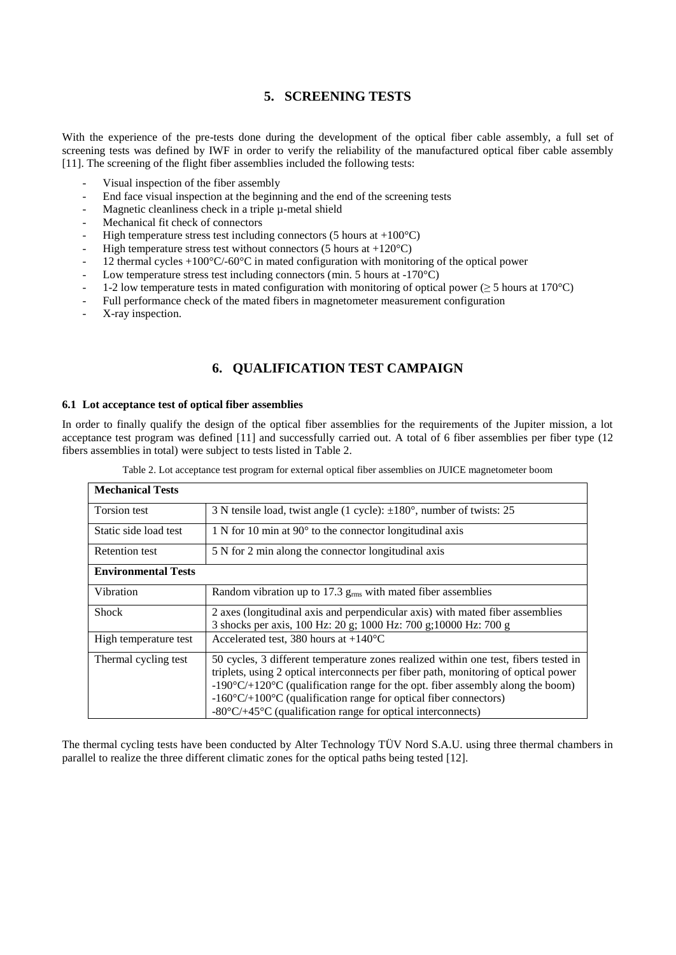### **5. SCREENING TESTS**

With the experience of the pre-tests done during the development of the optical fiber cable assembly, a full set of screening tests was defined by IWF in order to verify the reliability of the manufactured optical fiber cable assembly [11]. The screening of the flight fiber assemblies included the following tests:

- Visual inspection of the fiber assembly
- End face visual inspection at the beginning and the end of the screening tests
- Magnetic cleanliness check in a triple  $\mu$ -metal shield
- Mechanical fit check of connectors
- High temperature stress test including connectors (5 hours at  $+100^{\circ}$ C)
- High temperature stress test without connectors (5 hours at  $+120^{\circ}$ C)
- 12 thermal cycles  $+100\degree$ C/-60 $\degree$ C in mated configuration with monitoring of the optical power
- Low temperature stress test including connectors (min. 5 hours at  $-170^{\circ}$ C)
- 1-2 low temperature tests in mated configuration with monitoring of optical power ( $\geq$  5 hours at 170°C)
- Full performance check of the mated fibers in magnetometer measurement configuration
- X-ray inspection.

### **6. QUALIFICATION TEST CAMPAIGN**

#### **6.1 Lot acceptance test of optical fiber assemblies**

In order to finally qualify the design of the optical fiber assemblies for the requirements of the Jupiter mission, a lot acceptance test program was defined [11] and successfully carried out. A total of 6 fiber assemblies per fiber type (12 fibers assemblies in total) were subject to tests listed i[n Table 2.](#page-11-0)

<span id="page-11-0"></span>

| <b>Mechanical Tests</b>    |                                                                                                |
|----------------------------|------------------------------------------------------------------------------------------------|
| Torsion test               | 3 N tensile load, twist angle (1 cycle): $\pm 180^\circ$ , number of twists: 25                |
| Static side load test      | $1 N$ for 10 min at 90 $^{\circ}$ to the connector longitudinal axis                           |
| <b>Retention test</b>      | 5 N for 2 min along the connector longitudinal axis                                            |
| <b>Environmental Tests</b> |                                                                                                |
| Vibration                  | Random vibration up to 17.3 g <sub>rms</sub> with mated fiber assemblies                       |
| <b>Shock</b>               | 2 axes (longitudinal axis and perpendicular axis) with mated fiber assemblies                  |
|                            | 3 shocks per axis, 100 Hz: 20 g; 1000 Hz: 700 g; 10000 Hz: 700 g                               |
| High temperature test      | Accelerated test, 380 hours at $+140^{\circ}$ C                                                |
| Thermal cycling test       | 50 cycles, 3 different temperature zones realized within one test, fibers tested in            |
|                            | triplets, using 2 optical interconnects per fiber path, monitoring of optical power            |
|                            | $-190^{\circ}C/+120^{\circ}C$ (qualification range for the opt. fiber assembly along the boom) |
|                            | $-160^{\circ}C/+100^{\circ}C$ (qualification range for optical fiber connectors)               |
|                            | $-80^{\circ}$ C/+45 <sup>°</sup> C (qualification range for optical interconnects)             |

Table 2. Lot acceptance test program for external optical fiber assemblies on JUICE magnetometer boom

The thermal cycling tests have been conducted by Alter Technology TÜV Nord S.A.U. using three thermal chambers in parallel to realize the three different climatic zones for the optical paths being tested [12].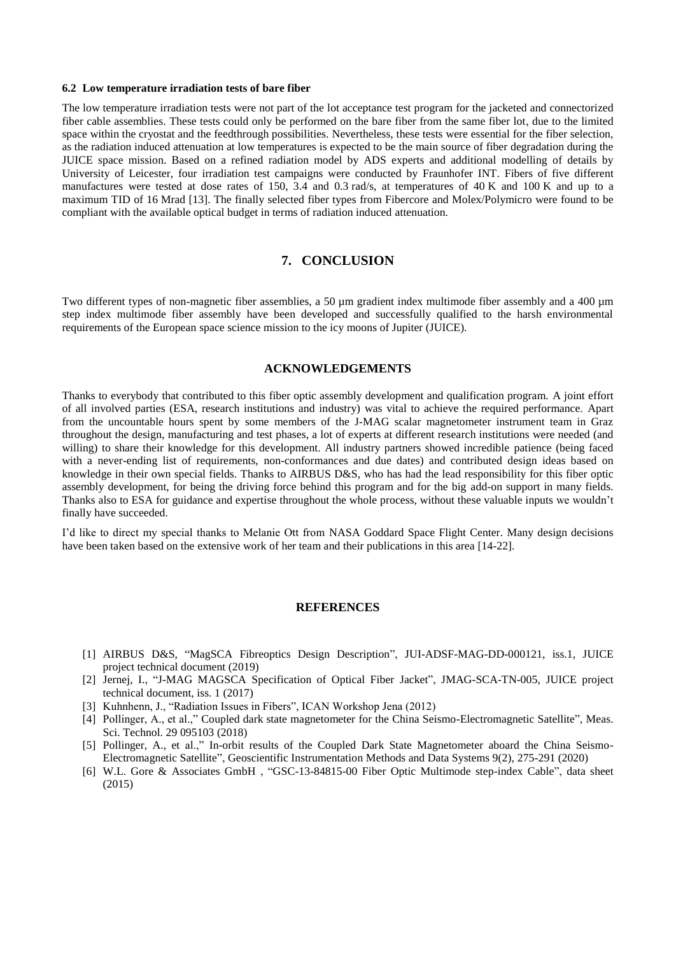#### <span id="page-12-0"></span>**6.2 Low temperature irradiation tests of bare fiber**

The low temperature irradiation tests were not part of the lot acceptance test program for the jacketed and connectorized fiber cable assemblies. These tests could only be performed on the bare fiber from the same fiber lot, due to the limited space within the cryostat and the feedthrough possibilities. Nevertheless, these tests were essential for the fiber selection, as the radiation induced attenuation at low temperatures is expected to be the main source of fiber degradation during the JUICE space mission. Based on a refined radiation model by ADS experts and additional modelling of details by University of Leicester, four irradiation test campaigns were conducted by Fraunhofer INT. Fibers of five different manufactures were tested at dose rates of 150, 3.4 and 0.3 rad/s, at temperatures of 40 K and 100 K and up to a maximum TID of 16 Mrad [13]. The finally selected fiber types from Fibercore and Molex/Polymicro were found to be compliant with the available optical budget in terms of radiation induced attenuation.

#### **7. CONCLUSION**

Two different types of non-magnetic fiber assemblies, a 50 µm gradient index multimode fiber assembly and a 400 µm step index multimode fiber assembly have been developed and successfully qualified to the harsh environmental requirements of the European space science mission to the icy moons of Jupiter (JUICE).

#### **ACKNOWLEDGEMENTS**

Thanks to everybody that contributed to this fiber optic assembly development and qualification program. A joint effort of all involved parties (ESA, research institutions and industry) was vital to achieve the required performance. Apart from the uncountable hours spent by some members of the J-MAG scalar magnetometer instrument team in Graz throughout the design, manufacturing and test phases, a lot of experts at different research institutions were needed (and willing) to share their knowledge for this development. All industry partners showed incredible patience (being faced with a never-ending list of requirements, non-conformances and due dates) and contributed design ideas based on knowledge in their own special fields. Thanks to AIRBUS D&S, who has had the lead responsibility for this fiber optic assembly development, for being the driving force behind this program and for the big add-on support in many fields. Thanks also to ESA for guidance and expertise throughout the whole process, without these valuable inputs we wouldn't finally have succeeded.

I'd like to direct my special thanks to Melanie Ott from NASA Goddard Space Flight Center. Many design decisions have been taken based on the extensive work of her team and their publications in this area [14-22].

#### **REFERENCES**

- [1] AIRBUS D&S, "MagSCA Fibreoptics Design Description", JUI-ADSF-MAG-DD-000121, iss.1, JUICE project technical document (2019)
- [2] Jernej, I., "J-MAG MAGSCA Specification of Optical Fiber Jacket", JMAG-SCA-TN-005, JUICE project technical document, iss. 1 (2017)
- [3] Kuhnhenn, J., "Radiation Issues in Fibers", ICAN Workshop Jena (2012)
- [4] Pollinger, A., et al.," Coupled dark state magnetometer for the China Seismo-Electromagnetic Satellite", Meas. Sci. Technol. 29 095103 (2018)
- [5] Pollinger, A., et al.," In-orbit results of the Coupled Dark State Magnetometer aboard the China Seismo-Electromagnetic Satellite", Geoscientific Instrumentation Methods and Data Systems 9(2), 275-291 (2020)
- [6] W.L. Gore & Associates GmbH , "GSC-13-84815-00 Fiber Optic Multimode step-index Cable", data sheet (2015)